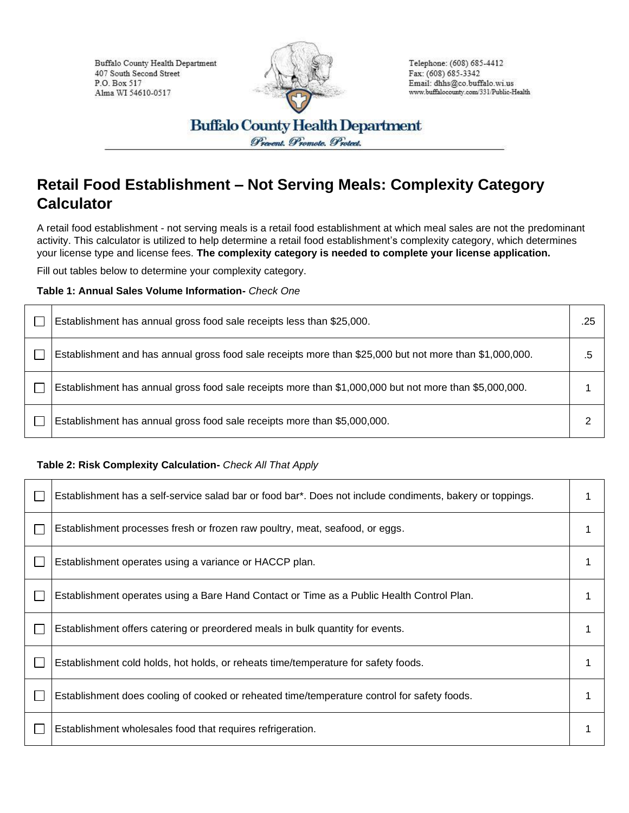Buffalo County Health Department 407 South Second Street P.O. Box 517 Alma WI 54610-0517



Telephone: (608) 685-4412 Fax: (608) 685-3342 Email: dhhs@co.buffalo.wi.us www.buffalocounty.com/331/Public-Health

**Buffalo County Health Department** Prevent. Promote. Protect.

## **Retail Food Establishment – Not Serving Meals: Complexity Category Calculator**

A retail food establishment - not serving meals is a retail food establishment at which meal sales are not the predominant activity. This calculator is utilized to help determine a retail food establishment's complexity category, which determines your license type and license fees. **The complexity category is needed to complete your license application.**

Fill out tables below to determine your complexity category.

**Table 1: Annual Sales Volume Information-** *Check One*

| Establishment has annual gross food sale receipts less than \$25,000.                                   | .25 |
|---------------------------------------------------------------------------------------------------------|-----|
| Establishment and has annual gross food sale receipts more than \$25,000 but not more than \$1,000,000. | .ხ  |
| Establishment has annual gross food sale receipts more than \$1,000,000 but not more than \$5,000,000.  |     |
| Establishment has annual gross food sale receipts more than \$5,000,000.                                |     |

## **Table 2: Risk Complexity Calculation-** *Check All That Apply*

| Establishment has a self-service salad bar or food bar*. Does not include condiments, bakery or toppings. |  |
|-----------------------------------------------------------------------------------------------------------|--|
| Establishment processes fresh or frozen raw poultry, meat, seafood, or eggs.                              |  |
| Establishment operates using a variance or HACCP plan.                                                    |  |
| Establishment operates using a Bare Hand Contact or Time as a Public Health Control Plan.                 |  |
| Establishment offers catering or preordered meals in bulk quantity for events.                            |  |
| Establishment cold holds, hot holds, or reheats time/temperature for safety foods.                        |  |
| Establishment does cooling of cooked or reheated time/temperature control for safety foods.               |  |
| Establishment wholesales food that requires refrigeration.                                                |  |